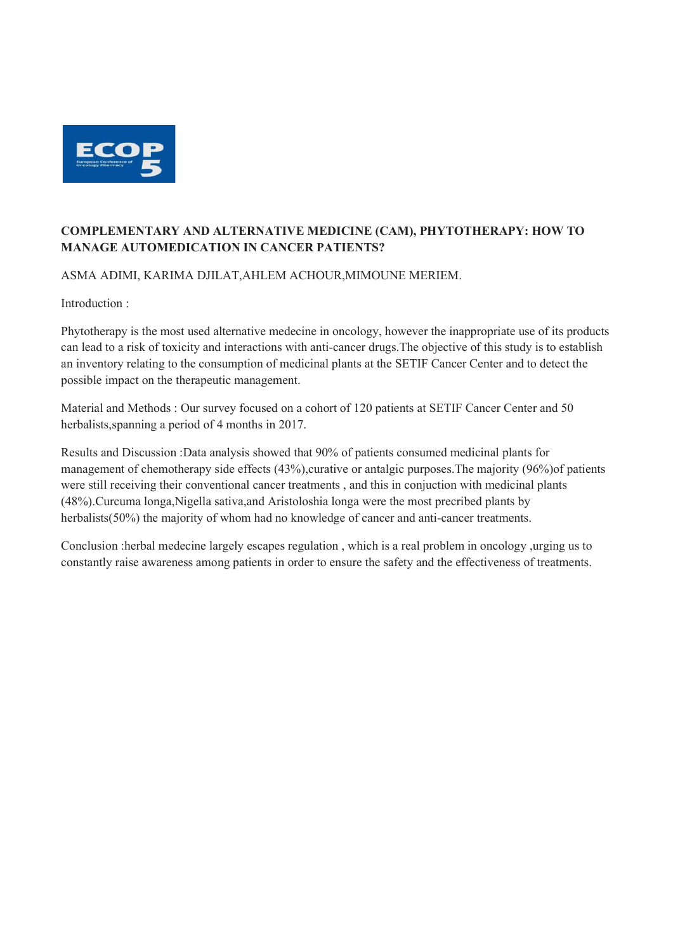

## COMPLEMENTARY AND ALTERNATIVE MEDICINE (CAM), PHYTOTHERAPY: HOW TO MANAGE AUTOMEDICATION IN CANCER PATIENTS?

ASMA ADIMI, KARIMA DJILAT,AHLEM ACHOUR,MIMOUNE MERIEM.

Introduction :

Phytotherapy is the most used alternative medecine in oncology, however the inappropriate use of its products can lead to a risk of toxicity and interactions with anti-cancer drugs.The objective of this study is to establish an inventory relating to the consumption of medicinal plants at the SETIF Cancer Center and to detect the possible impact on the therapeutic management.

Material and Methods : Our survey focused on a cohort of 120 patients at SETIF Cancer Center and 50 herbalists,spanning a period of 4 months in 2017.

Results and Discussion :Data analysis showed that 90% of patients consumed medicinal plants for management of chemotherapy side effects (43%),curative or antalgic purposes.The majority (96%)of patients were still receiving their conventional cancer treatments , and this in conjuction with medicinal plants (48%).Curcuma longa,Nigella sativa,and Aristoloshia longa were the most precribed plants by herbalists(50%) the majority of whom had no knowledge of cancer and anti-cancer treatments.

Conclusion :herbal medecine largely escapes regulation , which is a real problem in oncology ,urging us to constantly raise awareness among patients in order to ensure the safety and the effectiveness of treatments.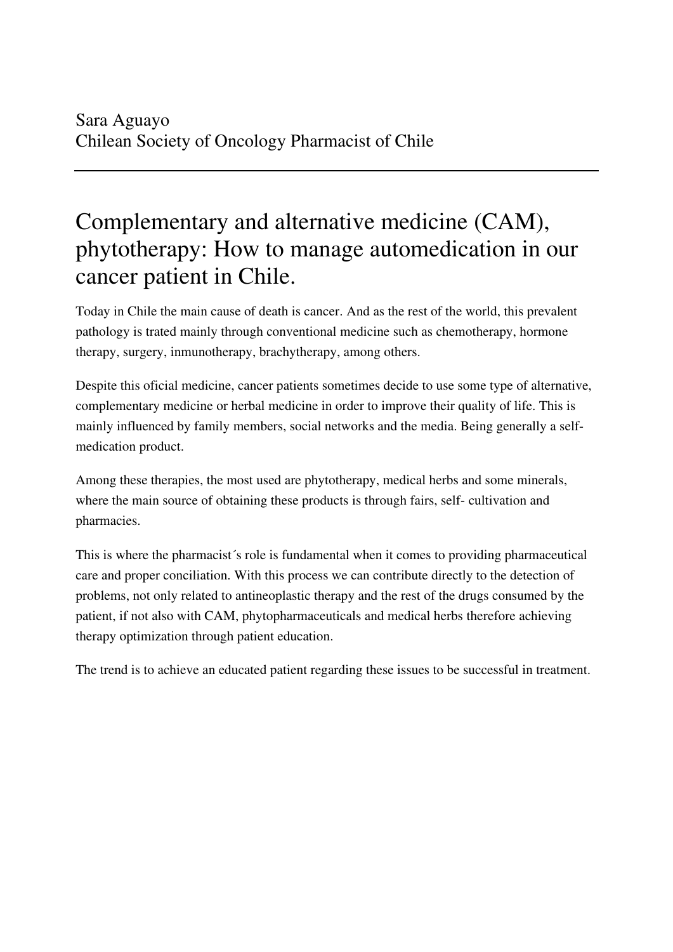## Complementary and alternative medicine (CAM), phytotherapy: How to manage automedication in our cancer patient in Chile.

Today in Chile the main cause of death is cancer. And as the rest of the world, this prevalent pathology is trated mainly through conventional medicine such as chemotherapy, hormone therapy, surgery, inmunotherapy, brachytherapy, among others.

Despite this oficial medicine, cancer patients sometimes decide to use some type of alternative, complementary medicine or herbal medicine in order to improve their quality of life. This is mainly influenced by family members, social networks and the media. Being generally a selfmedication product.

Among these therapies, the most used are phytotherapy, medical herbs and some minerals, where the main source of obtaining these products is through fairs, self- cultivation and pharmacies.

This is where the pharmacist´s role is fundamental when it comes to providing pharmaceutical care and proper conciliation. With this process we can contribute directly to the detection of problems, not only related to antineoplastic therapy and the rest of the drugs consumed by the patient, if not also with CAM, phytopharmaceuticals and medical herbs therefore achieving therapy optimization through patient education.

The trend is to achieve an educated patient regarding these issues to be successful in treatment.